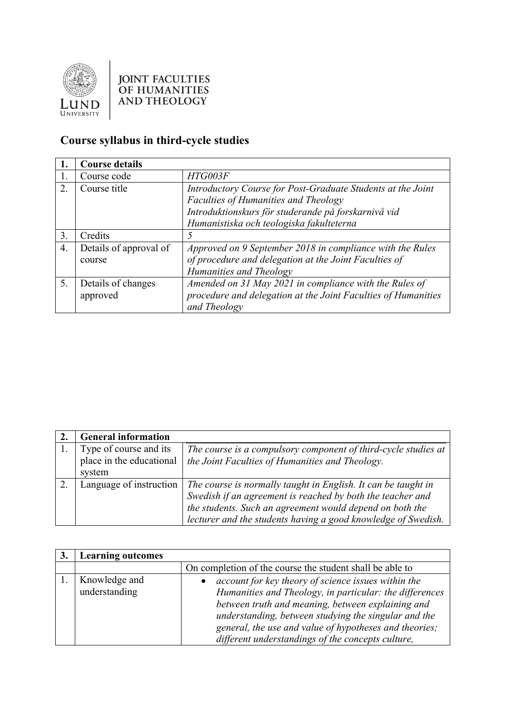

## **JOINT FACULTIES** OF HUMANITIES<br>AND THEOLOGY

## **Course syllabus in third-cycle studies**

| 1. | <b>Course details</b>            |                                                                                                                                                                                                               |
|----|----------------------------------|---------------------------------------------------------------------------------------------------------------------------------------------------------------------------------------------------------------|
| 1. | Course code                      | HTG003F                                                                                                                                                                                                       |
| 2. | Course title                     | Introductory Course for Post-Graduate Students at the Joint<br><b>Faculties of Humanities and Theology</b><br>Introduktionskurs för studerande på forskarnivå vid<br>Humanistiska och teologiska fakulteterna |
| 3. | Credits                          |                                                                                                                                                                                                               |
| 4. | Details of approval of<br>course | Approved on 9 September 2018 in compliance with the Rules<br>of procedure and delegation at the Joint Faculties of<br>Humanities and Theology                                                                 |
| 5. | Details of changes<br>approved   | Amended on 31 May 2021 in compliance with the Rules of<br>procedure and delegation at the Joint Faculties of Humanities<br>and Theology                                                                       |

| <b>General information</b>                         |                                                                                                                   |
|----------------------------------------------------|-------------------------------------------------------------------------------------------------------------------|
| Type of course and its<br>place in the educational | The course is a compulsory component of third-cycle studies at<br>the Joint Faculties of Humanities and Theology. |
| system                                             |                                                                                                                   |
| Language of instruction                            | The course is normally taught in English. It can be taught in                                                     |
|                                                    | Swedish if an agreement is reached by both the teacher and                                                        |
|                                                    | the students. Such an agreement would depend on both the                                                          |
|                                                    | lecturer and the students having a good knowledge of Swedish.                                                     |

| <b>Learning outcomes</b>       |                                                                                                                                                                                                                                                                                                                                            |
|--------------------------------|--------------------------------------------------------------------------------------------------------------------------------------------------------------------------------------------------------------------------------------------------------------------------------------------------------------------------------------------|
|                                | On completion of the course the student shall be able to                                                                                                                                                                                                                                                                                   |
| Knowledge and<br>understanding | account for key theory of science issues within the<br>Humanities and Theology, in particular: the differences<br>between truth and meaning, between explaining and<br>understanding, between studying the singular and the<br>general, the use and value of hypotheses and theories;<br>different understandings of the concepts culture, |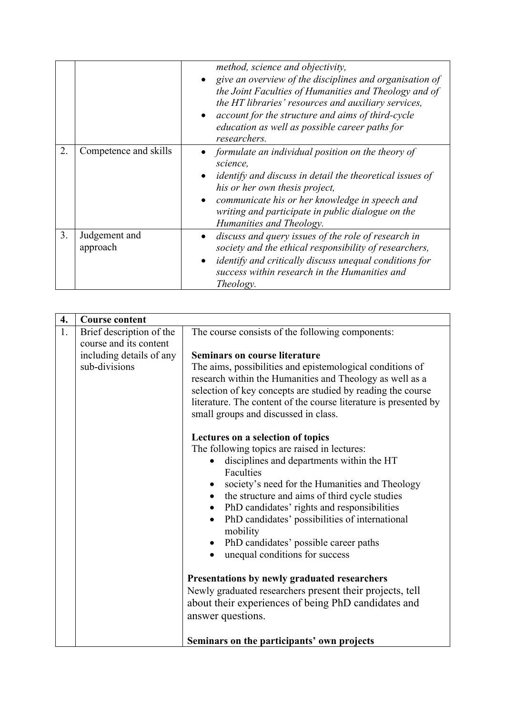|    |                           | method, science and objectivity,<br>give an overview of the disciplines and organisation of<br>the Joint Faculties of Humanities and Theology and of<br>the HT libraries' resources and auxiliary services,<br>account for the structure and aims of third-cycle<br>education as well as possible career paths for<br>researchers. |
|----|---------------------------|------------------------------------------------------------------------------------------------------------------------------------------------------------------------------------------------------------------------------------------------------------------------------------------------------------------------------------|
| 2. | Competence and skills     | formulate an individual position on the theory of<br>science.<br><i>identify and discuss in detail the theoretical issues of</i><br>his or her own thesis project,<br>communicate his or her knowledge in speech and<br>writing and participate in public dialogue on the<br>Humanities and Theology.                              |
| 3. | Judgement and<br>approach | discuss and query issues of the role of research in<br>society and the ethical responsibility of researchers,<br><i>identify and critically discuss unequal conditions for</i><br>$\bullet$<br>success within research in the Humanities and<br><i>Theology.</i>                                                                   |

| 4.<br>1. | <b>Course content</b><br>Brief description of the<br>course and its content<br>including details of any<br>sub-divisions | The course consists of the following components:<br><b>Seminars on course literature</b><br>The aims, possibilities and epistemological conditions of<br>research within the Humanities and Theology as well as a<br>selection of key concepts are studied by reading the course<br>literature. The content of the course literature is presented by<br>small groups and discussed in class.<br>Lectures on a selection of topics             |
|----------|--------------------------------------------------------------------------------------------------------------------------|-----------------------------------------------------------------------------------------------------------------------------------------------------------------------------------------------------------------------------------------------------------------------------------------------------------------------------------------------------------------------------------------------------------------------------------------------|
|          |                                                                                                                          | The following topics are raised in lectures:<br>disciplines and departments within the HT<br>$\bullet$<br>Faculties<br>society's need for the Humanities and Theology<br>$\bullet$<br>the structure and aims of third cycle studies<br>$\bullet$<br>PhD candidates' rights and responsibilities<br>$\bullet$<br>PhD candidates' possibilities of international<br>$\bullet$<br>mobility<br>PhD candidates' possible career paths<br>$\bullet$ |
|          |                                                                                                                          | unequal conditions for success<br>Presentations by newly graduated researchers<br>Newly graduated researchers present their projects, tell<br>about their experiences of being PhD candidates and<br>answer questions.<br>Seminars on the participants' own projects                                                                                                                                                                          |